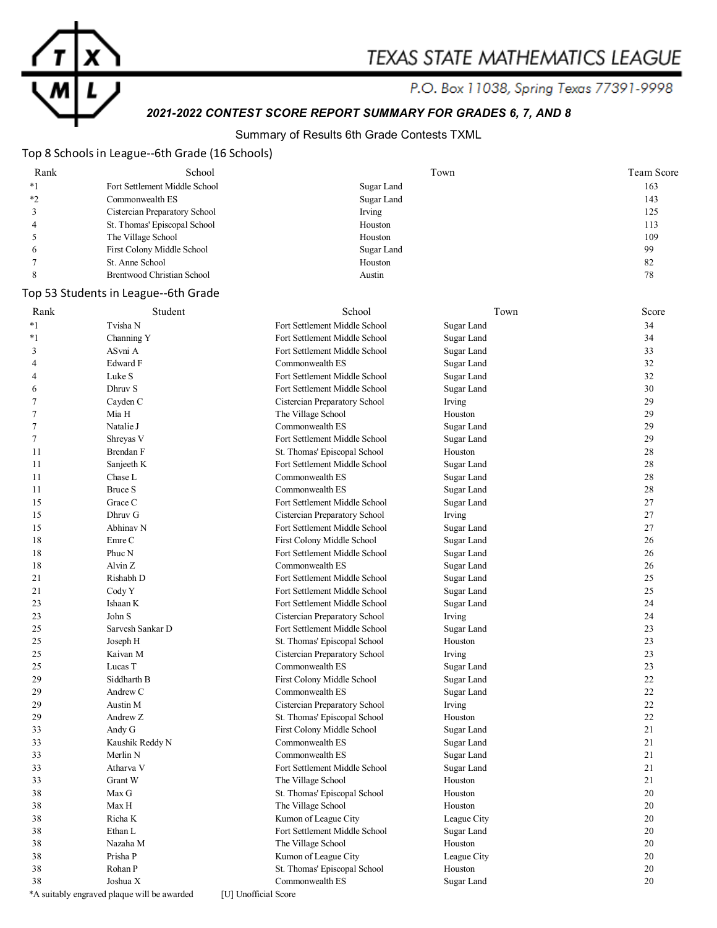

# TEXAS STATE MATHEMATICS LEAGUE

P.O. Box 11038, Spring Texas 77391-9998

# *2021-2022 CONTEST SCORE REPORT SUMMARY FOR GRADES 6, 7, AND 8*

### Summary of Results 6th Grade Contests TXML

### Top 8 Schools in League--6th Grade (16 Schools)

| Rank | School                        | Town       | Team Score |
|------|-------------------------------|------------|------------|
| $*1$ | Fort Settlement Middle School | Sugar Land | 163        |
| $*$  | Commonwealth ES               | Sugar Land | 143        |
|      | Cistercian Preparatory School | Irving     | 125        |
|      | St. Thomas' Episcopal School  | Houston    | 113        |
|      | The Village School            | Houston    | 109        |
| O    | First Colony Middle School    | Sugar Land | 99         |
|      | St. Anne School               | Houston    | 82         |
|      | Brentwood Christian School    | Austin     | 78         |

### Top 53 Students in League--6th Grade

| Rank           | Student                                     | School                        | Town        | Score |
|----------------|---------------------------------------------|-------------------------------|-------------|-------|
| $*_{1}$        | Tvisha N                                    | Fort Settlement Middle School | Sugar Land  | 34    |
| *1             | Channing Y                                  | Fort Settlement Middle School | Sugar Land  | 34    |
| 3              | ASvni A                                     | Fort Settlement Middle School | Sugar Land  | 33    |
| 4              | Edward F                                    | Commonwealth ES               | Sugar Land  | 32    |
| 4              | Luke S                                      | Fort Settlement Middle School | Sugar Land  | 32    |
| 6              | Dhruv S                                     | Fort Settlement Middle School | Sugar Land  | 30    |
| 7              | Cayden C                                    | Cistercian Preparatory School | Irving      | 29    |
| 7              | Mia H                                       | The Village School            | Houston     | 29    |
| $\overline{7}$ | Natalie J                                   | Commonwealth ES               | Sugar Land  | 29    |
| 7              | Shreyas V                                   | Fort Settlement Middle School | Sugar Land  | 29    |
| 11             | Brendan F                                   | St. Thomas' Episcopal School  | Houston     | 28    |
| 11             | Sanjeeth K                                  | Fort Settlement Middle School | Sugar Land  | 28    |
| 11             | Chase L                                     | Commonwealth ES               | Sugar Land  | 28    |
| 11             | <b>Bruce S</b>                              | Commonwealth ES               | Sugar Land  | 28    |
| 15             | Grace C                                     | Fort Settlement Middle School | Sugar Land  | 27    |
| 15             | Dhruv G                                     | Cistercian Preparatory School | Irving      | 27    |
| 15             | Abhinav N                                   | Fort Settlement Middle School | Sugar Land  | 27    |
| 18             | Emre C                                      | First Colony Middle School    | Sugar Land  | 26    |
| 18             | Phuc N                                      | Fort Settlement Middle School | Sugar Land  | 26    |
| 18             | Alvin Z                                     | Commonwealth ES               | Sugar Land  | 26    |
| 21             | Rishabh D                                   | Fort Settlement Middle School | Sugar Land  | 25    |
| 21             | Cody Y                                      | Fort Settlement Middle School | Sugar Land  | 25    |
| 23             | Ishaan K                                    | Fort Settlement Middle School | Sugar Land  | 24    |
| 23             | John S                                      | Cistercian Preparatory School | Irving      | 24    |
| 25             | Sarvesh Sankar D                            | Fort Settlement Middle School | Sugar Land  | 23    |
| 25             | Joseph H                                    | St. Thomas' Episcopal School  | Houston     | 23    |
| 25             | Kaivan M                                    | Cistercian Preparatory School | Irving      | 23    |
| 25             | Lucas T                                     | Commonwealth ES               | Sugar Land  | 23    |
| 29             | Siddharth B                                 | First Colony Middle School    | Sugar Land  | 22    |
| 29             | Andrew C                                    | Commonwealth ES               | Sugar Land  | 22    |
| 29             | Austin M                                    | Cistercian Preparatory School | Irving      | 22    |
| 29             | Andrew Z                                    | St. Thomas' Episcopal School  | Houston     | 22    |
| 33             | Andy G                                      | First Colony Middle School    | Sugar Land  | 21    |
| 33             | Kaushik Reddy N                             | Commonwealth ES               | Sugar Land  | 21    |
| 33             | Merlin N                                    | Commonwealth ES               | Sugar Land  | 21    |
| 33             | Atharva V                                   | Fort Settlement Middle School | Sugar Land  | 21    |
| 33             | Grant W                                     | The Village School            | Houston     | 21    |
| 38             | Max G                                       | St. Thomas' Episcopal School  | Houston     | 20    |
| 38             | Max H                                       | The Village School            | Houston     | 20    |
| 38             | Richa K                                     | Kumon of League City          | League City | 20    |
| 38             | Ethan L                                     | Fort Settlement Middle School | Sugar Land  | 20    |
| 38             | Nazaha M                                    | The Village School            | Houston     | 20    |
| 38             | Prisha P                                    | Kumon of League City          | League City | 20    |
| 38             | Rohan P                                     | St. Thomas' Episcopal School  | Houston     | 20    |
| 38             | Joshua $\mathbf X$                          | Commonwealth ES               | Sugar Land  | 20    |
|                | *A suitably engraved plaque will be awarded | [U] Unofficial Score          |             |       |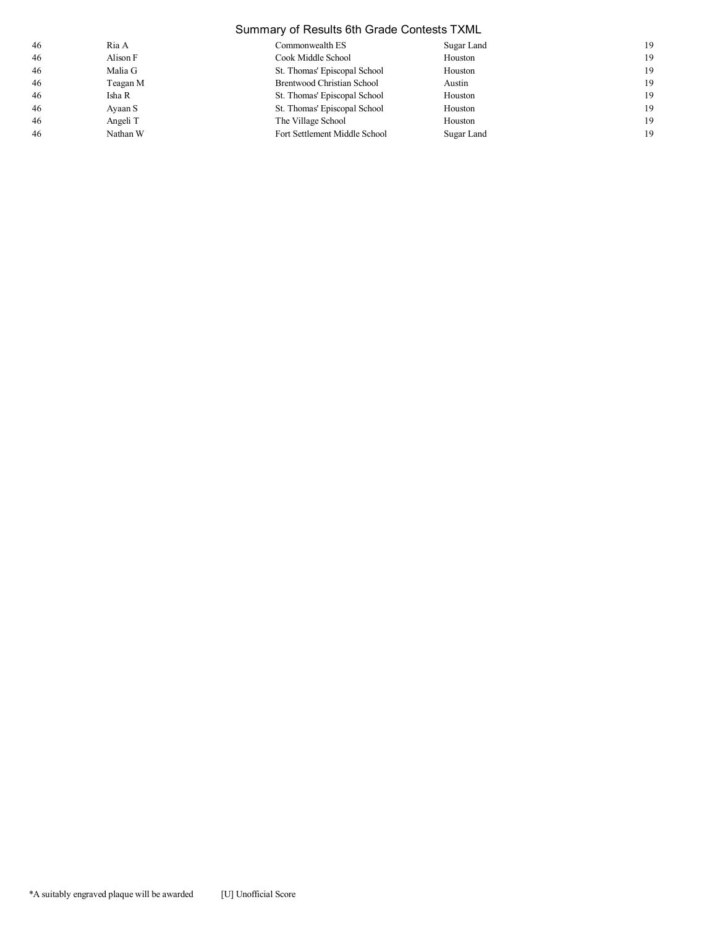| Summary of Results 6th Grade Contests TXML |          |                               |            |    |
|--------------------------------------------|----------|-------------------------------|------------|----|
| 46                                         | Ria A    | Commonwealth ES               | Sugar Land | 19 |
| 46                                         | Alison F | Cook Middle School            | Houston    | 19 |
| 46                                         | Malia G  | St. Thomas' Episcopal School  | Houston    | 19 |
| 46                                         | Teagan M | Brentwood Christian School    | Austin     | 19 |
| 46                                         | Isha R   | St. Thomas' Episcopal School  | Houston    | 19 |
| 46                                         | Ayaan S  | St. Thomas' Episcopal School  | Houston    | 19 |
| 46                                         | Angeli T | The Village School            | Houston    | 19 |
| 46                                         | Nathan W | Fort Settlement Middle School | Sugar Land | 19 |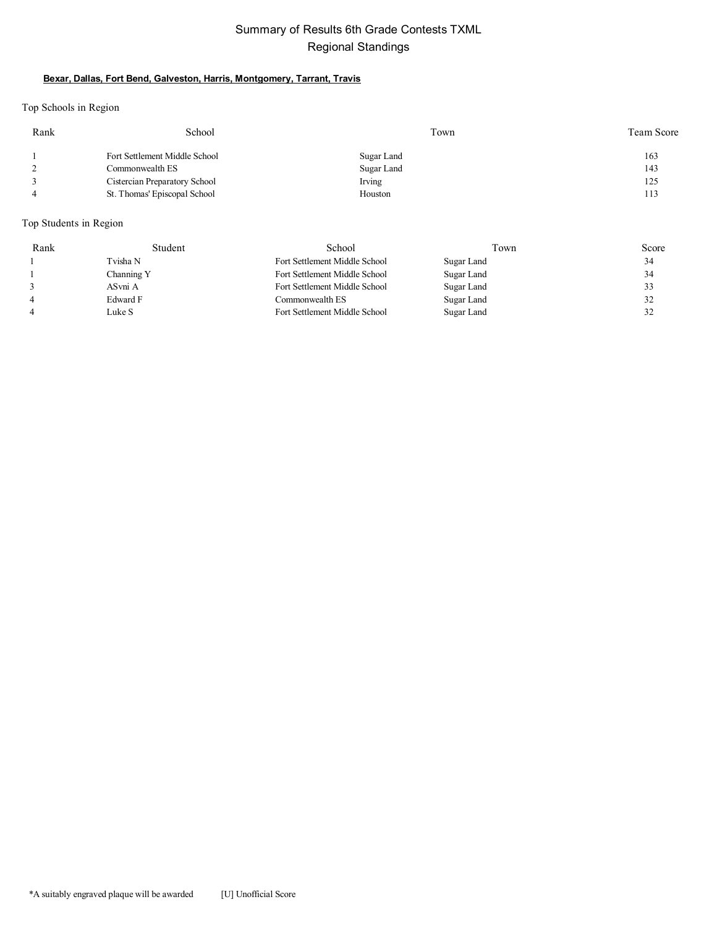### Summary of Results 6th Grade Contests TXML Regional Standings

#### **Bexar, Dallas, Fort Bend, Galveston, Harris, Montgomery, Tarrant, Travis**

Top Schools in Region

| School                        | Town       | Team Score |
|-------------------------------|------------|------------|
| Fort Settlement Middle School | Sugar Land | 163        |
| Commonwealth ES               | Sugar Land | 143        |
| Cistercian Preparatory School | Irving     | 125        |
| St. Thomas' Episcopal School  | Houston    | 113        |
|                               |            |            |

Top Students in Region

| Rank           | Student    | School                        | Town       | Score |
|----------------|------------|-------------------------------|------------|-------|
|                | Tvisha N   | Fort Settlement Middle School | Sugar Land | 34    |
|                | Channing Y | Fort Settlement Middle School | Sugar Land | 34    |
|                | ASvni A    | Fort Settlement Middle School | Sugar Land | 33    |
| $\overline{4}$ | Edward F   | Commonwealth ES               | Sugar Land | 32    |
| $\overline{4}$ | Luke S     | Fort Settlement Middle School | Sugar Land | 32    |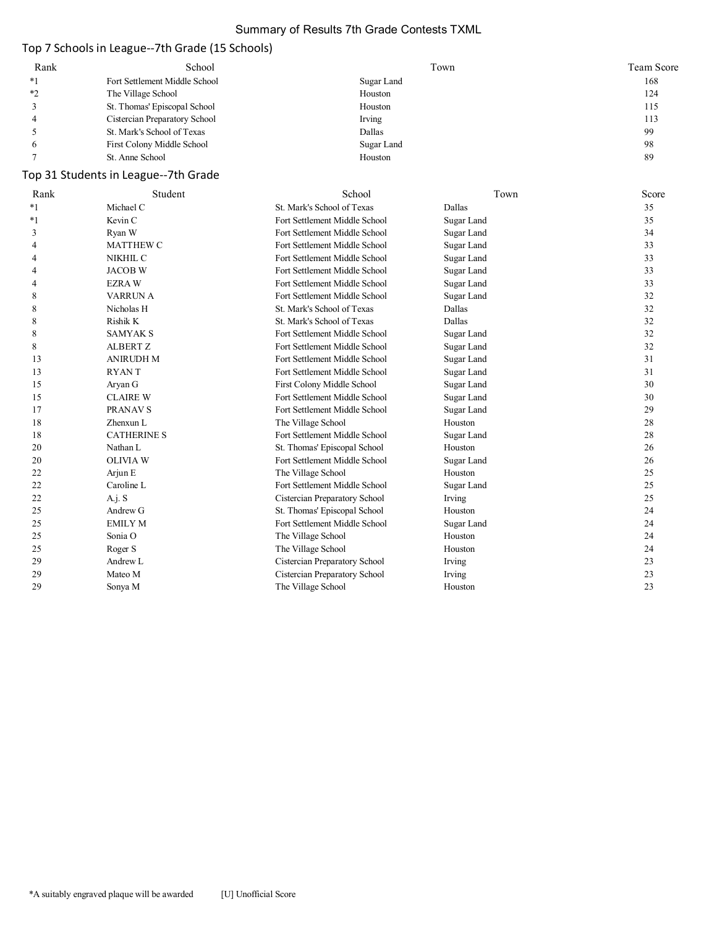### Summary of Results 7th Grade Contests TXML

# Top 7 Schools in League--7th Grade (15 Schools)

| Rank | School                        | Town       | Team Score |
|------|-------------------------------|------------|------------|
| $*1$ | Fort Settlement Middle School | Sugar Land | 168        |
| $*$  | The Village School            | Houston    | 124        |
|      | St. Thomas' Episcopal School  | Houston    | 115        |
|      | Cistercian Preparatory School | Irving     | 113        |
|      | St. Mark's School of Texas    | Dallas     | 99         |
|      | First Colony Middle School    | Sugar Land | 98         |
|      | St. Anne School               | Houston    | 89         |

# Top 31 Students in League--7th Grade

| Rank    | Student            | School                        | Town       | Score |
|---------|--------------------|-------------------------------|------------|-------|
| $*_{1}$ | Michael C          | St. Mark's School of Texas    | Dallas     | 35    |
| $*_{1}$ | Kevin C            | Fort Settlement Middle School | Sugar Land | 35    |
| 3       | Ryan W             | Fort Settlement Middle School | Sugar Land | 34    |
| 4       | <b>MATTHEW C</b>   | Fort Settlement Middle School | Sugar Land | 33    |
| 4       | NIKHIL C           | Fort Settlement Middle School | Sugar Land | 33    |
| 4       | <b>JACOB W</b>     | Fort Settlement Middle School | Sugar Land | 33    |
| 4       | <b>EZRAW</b>       | Fort Settlement Middle School | Sugar Land | 33    |
| 8       | <b>VARRUN A</b>    | Fort Settlement Middle School | Sugar Land | 32    |
| 8       | Nicholas H         | St. Mark's School of Texas    | Dallas     | 32    |
| 8       | Rishik K           | St. Mark's School of Texas    | Dallas     | 32    |
| 8       | <b>SAMYAK S</b>    | Fort Settlement Middle School | Sugar Land | 32    |
| 8       | <b>ALBERT Z</b>    | Fort Settlement Middle School | Sugar Land | 32    |
| 13      | <b>ANIRUDH M</b>   | Fort Settlement Middle School | Sugar Land | 31    |
| 13      | <b>RYANT</b>       | Fort Settlement Middle School | Sugar Land | 31    |
| 15      | Aryan G            | First Colony Middle School    | Sugar Land | 30    |
| 15      | <b>CLAIRE W</b>    | Fort Settlement Middle School | Sugar Land | 30    |
| 17      | PRANAV S           | Fort Settlement Middle School | Sugar Land | 29    |
| 18      | Zhenxun L          | The Village School            | Houston    | 28    |
| 18      | <b>CATHERINE S</b> | Fort Settlement Middle School | Sugar Land | 28    |
| 20      | Nathan L           | St. Thomas' Episcopal School  | Houston    | 26    |
| 20      | <b>OLIVIA W</b>    | Fort Settlement Middle School | Sugar Land | 26    |
| 22      | Arjun E            | The Village School            | Houston    | 25    |
| 22      | Caroline L         | Fort Settlement Middle School | Sugar Land | 25    |
| 22      | A.j. S             | Cistercian Preparatory School | Irving     | 25    |
| 25      | Andrew G           | St. Thomas' Episcopal School  | Houston    | 24    |
| 25      | <b>EMILY M</b>     | Fort Settlement Middle School | Sugar Land | 24    |
| 25      | Sonia O            | The Village School            | Houston    | 24    |
| 25      | Roger S            | The Village School            | Houston    | 24    |
| 29      | Andrew L           | Cistercian Preparatory School | Irving     | 23    |
| 29      | Mateo M            | Cistercian Preparatory School | Irving     | 23    |
| 29      | Sonya M            | The Village School            | Houston    | 23    |
|         |                    |                               |            |       |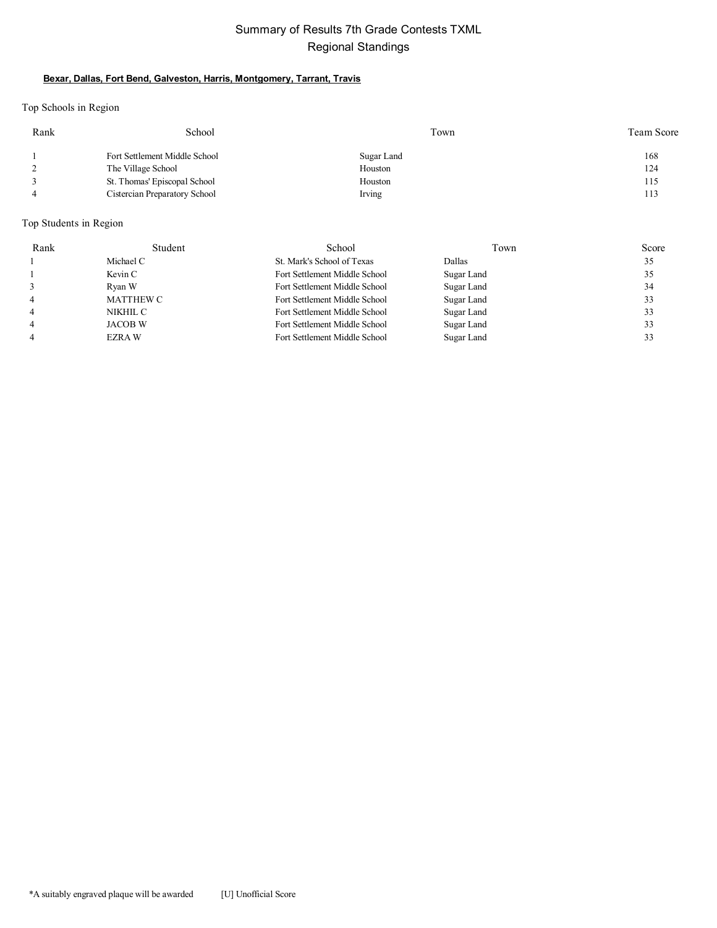### Summary of Results 7th Grade Contests TXML Regional Standings

### **Bexar, Dallas, Fort Bend, Galveston, Harris, Montgomery, Tarrant, Travis**

Top Schools in Region

| Rank | School                        | Town       | Team Score |
|------|-------------------------------|------------|------------|
|      | Fort Settlement Middle School | Sugar Land | 168        |
|      | The Village School            | Houston    | 124        |
|      | St. Thomas' Episcopal School  | Houston    | 115        |
|      | Cistercian Preparatory School | Irving     | 113        |

### Top Students in Region

| Rank           | Student          | School                        | Town       | Score |
|----------------|------------------|-------------------------------|------------|-------|
|                | Michael C        | St. Mark's School of Texas    | Dallas     | 35    |
|                | Kevin C          | Fort Settlement Middle School | Sugar Land | 35    |
|                | Ryan W           | Fort Settlement Middle School | Sugar Land | 34    |
| $\overline{4}$ | <b>MATTHEW C</b> | Fort Settlement Middle School | Sugar Land | 33    |
| $\overline{4}$ | NIKHIL C         | Fort Settlement Middle School | Sugar Land | 33    |
| $\overline{4}$ | JACOB W          | Fort Settlement Middle School | Sugar Land | 33    |
| $\overline{4}$ | EZRA W           | Fort Settlement Middle School | Sugar Land | 33    |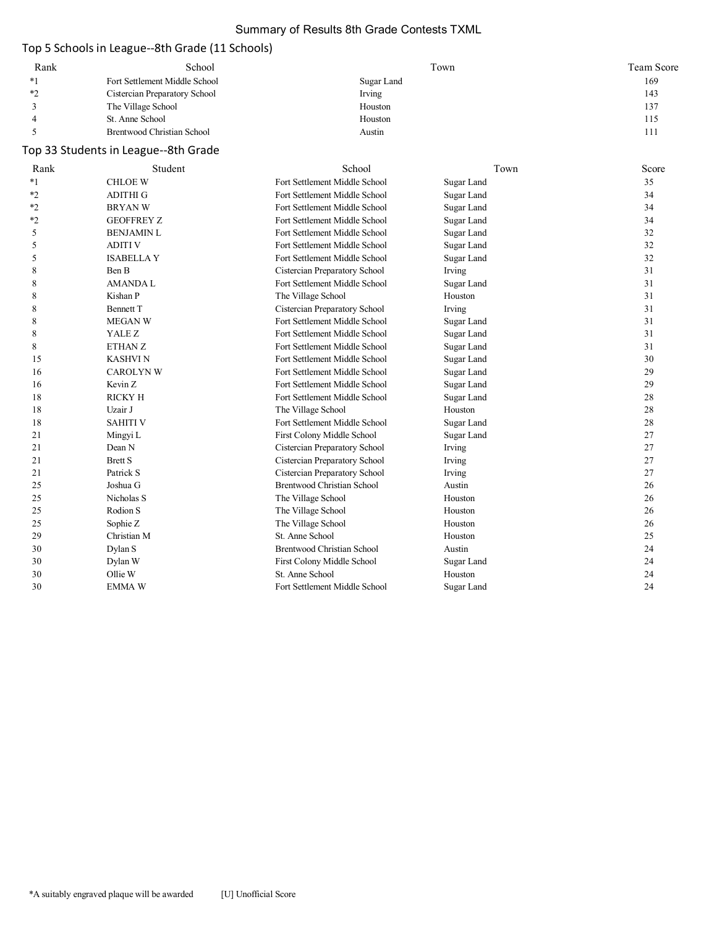### Summary of Results 8th Grade Contests TXML

### Top 5 Schools in League--8th Grade (11 Schools)

| Rank | School                        | Town       | Team Score |
|------|-------------------------------|------------|------------|
|      | Fort Settlement Middle School | Sugar Land | 169        |
| $*$  | Cistercian Preparatory School | Irving     | 143        |
|      | The Village School            | Houston    | 137        |
|      | St. Anne School               | Houston    | 115        |
|      | Brentwood Christian School    | Austin     | 111        |

# Top 33 Students in League--8th Grade

| Rank    | Student           | School                            | Town       | Score |
|---------|-------------------|-----------------------------------|------------|-------|
| $*_{1}$ | <b>CHLOE W</b>    | Fort Settlement Middle School     | Sugar Land | 35    |
| $*2$    | <b>ADITHI G</b>   | Fort Settlement Middle School     | Sugar Land | 34    |
| $*_{2}$ | <b>BRYANW</b>     | Fort Settlement Middle School     | Sugar Land | 34    |
| $*_{2}$ | <b>GEOFFREY Z</b> | Fort Settlement Middle School     | Sugar Land | 34    |
| 5       | <b>BENJAMIN L</b> | Fort Settlement Middle School     | Sugar Land | 32    |
| 5       | <b>ADITI V</b>    | Fort Settlement Middle School     | Sugar Land | 32    |
| 5       | <b>ISABELLAY</b>  | Fort Settlement Middle School     | Sugar Land | 32    |
| 8       | Ben B             | Cistercian Preparatory School     | Irving     | 31    |
| 8       | <b>AMANDAL</b>    | Fort Settlement Middle School     | Sugar Land | 31    |
| 8       | Kishan P          | The Village School                | Houston    | 31    |
| 8       | <b>Bennett</b> T  | Cistercian Preparatory School     | Irving     | 31    |
| 8       | <b>MEGAN W</b>    | Fort Settlement Middle School     | Sugar Land | 31    |
| 8       | YALE Z            | Fort Settlement Middle School     | Sugar Land | 31    |
| 8       | ETHAN Z           | Fort Settlement Middle School     | Sugar Land | 31    |
| 15      | <b>KASHVIN</b>    | Fort Settlement Middle School     | Sugar Land | 30    |
| 16      | <b>CAROLYN W</b>  | Fort Settlement Middle School     | Sugar Land | 29    |
| 16      | Kevin Z           | Fort Settlement Middle School     | Sugar Land | 29    |
| 18      | <b>RICKY H</b>    | Fort Settlement Middle School     | Sugar Land | 28    |
| 18      | Uzair J           | The Village School                | Houston    | 28    |
| 18      | <b>SAHITI V</b>   | Fort Settlement Middle School     | Sugar Land | 28    |
| 21      | Mingyi L          | First Colony Middle School        | Sugar Land | 27    |
| 21      | Dean N            | Cistercian Preparatory School     | Irving     | 27    |
| 21      | <b>Brett S</b>    | Cistercian Preparatory School     | Irving     | 27    |
| 21      | Patrick S         | Cistercian Preparatory School     | Irving     | 27    |
| 25      | Joshua G          | <b>Brentwood Christian School</b> | Austin     | 26    |
| 25      | Nicholas S        | The Village School                | Houston    | 26    |
| 25      | Rodion S          | The Village School                | Houston    | 26    |
| 25      | Sophie Z          | The Village School                | Houston    | 26    |
| 29      | Christian M       | St. Anne School                   | Houston    | 25    |
| 30      | Dylan S           | <b>Brentwood Christian School</b> | Austin     | 24    |
| 30      | Dylan W           | First Colony Middle School        | Sugar Land | 24    |
| 30      | Ollie W           | St. Anne School                   | Houston    | 24    |
| 30      | <b>EMMA W</b>     | Fort Settlement Middle School     | Sugar Land | 24    |
|         |                   |                                   |            |       |